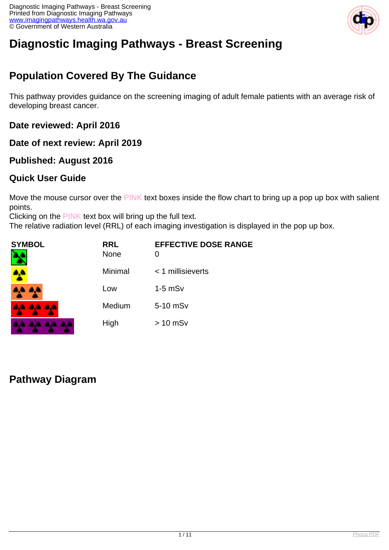

# **Diagnostic Imaging Pathways - Breast Screening**

## **Population Covered By The Guidance**

This pathway provides guidance on the screening imaging of adult female patients with an average risk of developing breast cancer.

**Date reviewed: April 2016**

**Date of next review: April 2019**

#### **Published: August 2016**

#### **Quick User Guide**

Move the mouse cursor over the PINK text boxes inside the flow chart to bring up a pop up box with salient points.

Clicking on the PINK text box will bring up the full text.

The relative radiation level (RRL) of each imaging investigation is displayed in the pop up box.

| SYMBOL        | <b>RRL</b><br><b>None</b> | <b>EFFECTIVE DOSE RANGE</b> |
|---------------|---------------------------|-----------------------------|
| 4             | Minimal                   | $<$ 1 millisieverts         |
| 4,4 4,4       | Low                       | $1-5$ mSv                   |
| 8.4 A.A. A.A. | Medium                    | 5-10 mSv                    |
|               | High                      | $> 10$ mSv                  |

## **Pathway Diagram**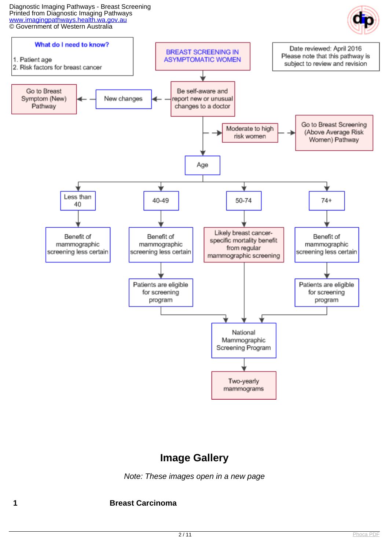Diagnostic Imaging Pathways - Breast Screening Printed from Diagnostic Imaging Pathways [www.imagingpathways.health.wa.gov.au](http://www.imagingpathways.health.wa.gov.au/) © Government of Western Australia





#### **Image Gallery**

Note: These images open in a new page

**1 Breast Carcinoma**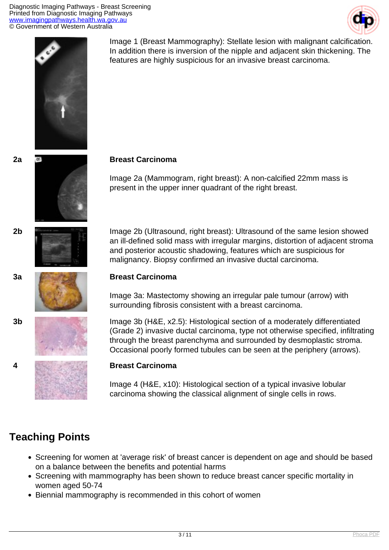Diagnostic Imaging Pathways - Breast Screening Printed from Diagnostic Imaging Pathways [www.imagingpathways.health.wa.gov.au](http://www.imagingpathways.health.wa.gov.au/) © Government of Western Australia





Image 1 (Breast Mammography): Stellate lesion with malignant calcification. In addition there is inversion of the nipple and adjacent skin thickening. The features are highly suspicious for an invasive breast carcinoma.

Image 2a (Mammogram, right breast): A non-calcified 22mm mass is present in the upper inner quadrant of the right breast.

**2b** Image 2b (Ultrasound, right breast): Ultrasound of the same lesion showed an ill-defined solid mass with irregular margins, distortion of adjacent stroma and posterior acoustic shadowing, features which are suspicious for malignancy. Biopsy confirmed an invasive ductal carcinoma.

Image 3a: Mastectomy showing an irregular pale tumour (arrow) with surrounding fibrosis consistent with a breast carcinoma.

**3b** Image 3b (H&E, x2.5): Histological section of a moderately differentiated (Grade 2) invasive ductal carcinoma, type not otherwise specified, infiltrating through the breast parenchyma and surrounded by desmoplastic stroma. Occasional poorly formed tubules can be seen at the periphery (arrows).

Image 4 (H&E, x10): Histological section of a typical invasive lobular carcinoma showing the classical alignment of single cells in rows.

## **Teaching Points**

- Screening for women at 'average risk' of breast cancer is dependent on age and should be based on a balance between the benefits and potential harms
- Screening with mammography has been shown to reduce breast cancer specific mortality in women aged 50-74
- Biennial mammography is recommended in this cohort of women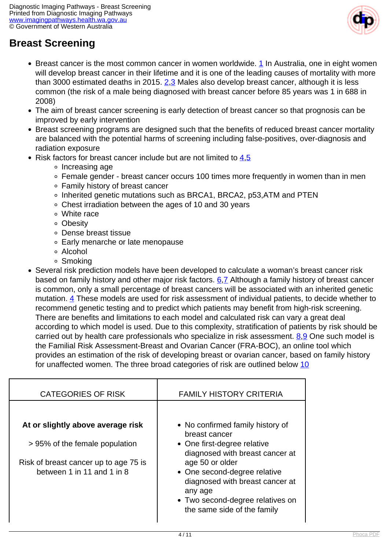![](_page_3_Picture_1.jpeg)

## **Breast Screening**

- Breast cancer is the most common cancer in women worldwide. [1](index.php?option=com_content&view=article&id=177&tab=references#1) In Australia, one in eight women will develop breast cancer in their lifetime and it is one of the leading causes of mortality with more than 3000 estimated deaths in [2](index.php?option=com_content&view=article&id=177&tab=references#2)015.  $2.3$  $2.3$  Males also develop breast cancer, although it is less common (the risk of a male being diagnosed with breast cancer before 85 years was 1 in 688 in 2008)
- The aim of breast cancer screening is early detection of breast cancer so that prognosis can be improved by early intervention
- Breast screening programs are designed such that the benefits of reduced breast cancer mortality are balanced with the potential harms of screening including false-positives, over-diagnosis and radiation exposure
- Risk factors for breast cancer include but are not limited to  $4.5$  $4.5$ 
	- ∘ Increasing age
	- Female gender breast cancer occurs 100 times more frequently in women than in men
	- Family history of breast cancer
	- Inherited genetic mutations such as BRCA1, BRCA2, p53,ATM and PTEN
	- Chest irradiation between the ages of 10 and 30 years
	- White race
	- Obesity
	- Dense breast tissue
	- Early menarche or late menopause
	- Alcohol
	- Smoking
- Several risk prediction models have been developed to calculate a woman's breast cancer risk based on family history and other major risk factors.  $6.7$  Although a family history of breast cancer is common, only a small percentage of breast cancers will be associated with an inherited genetic mutation. [4](index.php?option=com_content&view=article&id=177&tab=references#4) These models are used for risk assessment of individual patients, to decide whether to recommend genetic testing and to predict which patients may benefit from high-risk screening. There are benefits and limitations to each model and calculated risk can vary a great deal according to which model is used. Due to this complexity, stratification of patients by risk should be carried out by health care professionals who specialize in risk assessment. [8](index.php?option=com_content&view=article&id=177&tab=references#8),[9](index.php?option=com_content&view=article&id=177&tab=references#9) One such model is the Familial Risk Assessment-Breast and Ovarian Cancer (FRA-BOC), an online tool which provides an estimation of the risk of developing breast or ovarian cancer, based on family history for unaffected women. The three broad categories of risk are outlined below [10](index.php?option=com_content&view=article&id=177&tab=references#10)

| <b>CATEGORIES OF RISK</b>                                                                                                                  | <b>FAMILY HISTORY CRITERIA</b>                                                                                                                                                                                                                                                          |
|--------------------------------------------------------------------------------------------------------------------------------------------|-----------------------------------------------------------------------------------------------------------------------------------------------------------------------------------------------------------------------------------------------------------------------------------------|
| At or slightly above average risk<br>> 95% of the female population<br>Risk of breast cancer up to age 75 is<br>between 1 in 11 and 1 in 8 | • No confirmed family history of<br>breast cancer<br>• One first-degree relative<br>diagnosed with breast cancer at<br>age 50 or older<br>• One second-degree relative<br>diagnosed with breast cancer at<br>any age<br>• Two second-degree relatives on<br>the same side of the family |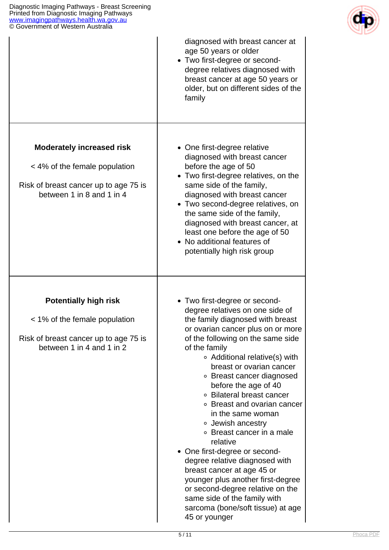![](_page_4_Picture_1.jpeg)

| © Government of Western Australia                                                                                                       |                                                                                                                                                                                                                                                                                                                                                                                                                                                                                                                                                                                                                                                                                                                                  |
|-----------------------------------------------------------------------------------------------------------------------------------------|----------------------------------------------------------------------------------------------------------------------------------------------------------------------------------------------------------------------------------------------------------------------------------------------------------------------------------------------------------------------------------------------------------------------------------------------------------------------------------------------------------------------------------------------------------------------------------------------------------------------------------------------------------------------------------------------------------------------------------|
|                                                                                                                                         | diagnosed with breast cancer at<br>age 50 years or older<br>• Two first-degree or second-<br>degree relatives diagnosed with<br>breast cancer at age 50 years or<br>older, but on different sides of the<br>family                                                                                                                                                                                                                                                                                                                                                                                                                                                                                                               |
| <b>Moderately increased risk</b><br>< 4% of the female population<br>Risk of breast cancer up to age 75 is<br>between 1 in 8 and 1 in 4 | • One first-degree relative<br>diagnosed with breast cancer<br>before the age of 50<br>• Two first-degree relatives, on the<br>same side of the family,<br>diagnosed with breast cancer<br>• Two second-degree relatives, on<br>the same side of the family,<br>diagnosed with breast cancer, at<br>least one before the age of 50<br>• No additional features of<br>potentially high risk group                                                                                                                                                                                                                                                                                                                                 |
| <b>Potentially high risk</b><br>< 1% of the female population<br>Risk of breast cancer up to age 75 is<br>between 1 in 4 and 1 in 2     | • Two first-degree or second-<br>degree relatives on one side of<br>the family diagnosed with breast<br>or ovarian cancer plus on or more<br>of the following on the same side<br>of the family<br>○ Additional relative(s) with<br>breast or ovarian cancer<br>○ Breast cancer diagnosed<br>before the age of 40<br>○ Bilateral breast cancer<br>• Breast and ovarian cancer<br>in the same woman<br>• Jewish ancestry<br>• Breast cancer in a male<br>relative<br>• One first-degree or second-<br>degree relative diagnosed with<br>breast cancer at age 45 or<br>younger plus another first-degree<br>or second-degree relative on the<br>same side of the family with<br>sarcoma (bone/soft tissue) at age<br>45 or younger |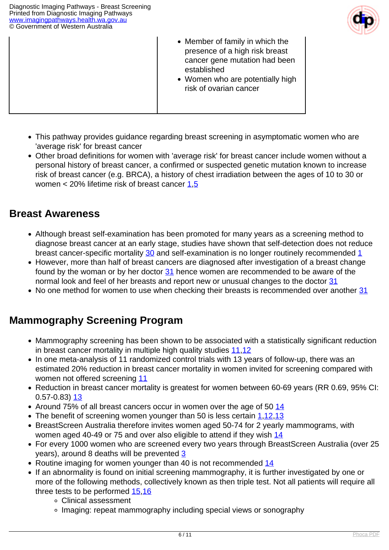![](_page_5_Picture_1.jpeg)

- Member of family in which the presence of a high risk breast cancer gene mutation had been established
- Women who are potentially high risk of ovarian cancer
- This pathway provides guidance regarding breast screening in asymptomatic women who are 'average risk' for breast cancer
- Other broad definitions for women with 'average risk' for breast cancer include women without a personal history of breast cancer, a confirmed or suspected genetic mutation known to increase risk of breast cancer (e.g. BRCA), a history of chest irradiation between the ages of 10 to 30 or women < 20% lifetime risk of breast cancer [1](index.php?option=com_content&view=article&id=177&tab=references#1),[5](index.php?option=com_content&view=article&id=177&tab=references#5)

#### **Breast Awareness**

- Although breast self-examination has been promoted for many years as a screening method to diagnose breast cancer at an early stage, studies have shown that self-detection does not reduce breast cancer-specific mortality [30](index.php?option=com_content&view=article&id=177&tab=references#30) and self-examination is no longer routinely recommended [1](index.php?option=com_content&view=article&id=177&tab=references#1)
- However, more than half of breast cancers are diagnosed after investigation of a breast change found by the woman or by her doctor [31](index.php?option=com_content&view=article&id=177&tab=references#31) hence women are recommended to be aware of the normal look and feel of her breasts and report new or unusual changes to the doctor [31](index.php?option=com_content&view=article&id=177&tab=references#31)
- No one method for women to use when checking their breasts is recommended over another [31](index.php?option=com_content&view=article&id=177&tab=references#31)

## **Mammography Screening Program**

- Mammography screening has been shown to be associated with a statistically significant reduction in breast cancer mortality in multiple high quality studies [11,](index.php?option=com_content&view=article&id=177&tab=references#11)[12](index.php?option=com_content&view=article&id=177&tab=references#12)
- In one meta-analysis of 11 randomized control trials with 13 years of follow-up, there was an estimated 20% reduction in breast cancer mortality in women invited for screening compared with women not offered screening [11](index.php?option=com_content&view=article&id=177&tab=references#11)
- Reduction in breast cancer mortality is greatest for women between 60-69 years (RR 0.69, 95% CI: 0.57-0.83) [13](index.php?option=com_content&view=article&id=177&tab=references#13)
- Around 75% of all breast cancers occur in women over the age of 50 [14](index.php?option=com_content&view=article&id=177&tab=references#14)
- The benefit of screening women younger than 50 is less certain  $1,12,13$  $1,12,13$  $1,12,13$
- BreastScreen Australia therefore invites women aged 50-74 for 2 yearly mammograms, with women aged 40-49 or 75 and over also eligible to attend if they wish [14](index.php?option=com_content&view=article&id=177&tab=references#14)
- For every 1000 women who are screened every two years through BreastScreen Australia (over 25 years), around 8 deaths will be prevented [3](index.php?option=com_content&view=article&id=177&tab=references#3)
- Routine imaging for women younger than 40 is not recommended [14](index.php?option=com_content&view=article&id=177&tab=references#14)
- If an abnormality is found on initial screening mammography, it is further investigated by one or more of the following methods, collectively known as then triple test. Not all patients will require all three tests to be performed [15](index.php?option=com_content&view=article&id=177&tab=references#15)[,16](index.php?option=com_content&view=article&id=177&tab=references#16)
	- Clinical assessment
	- Imaging: repeat mammography including special views or sonography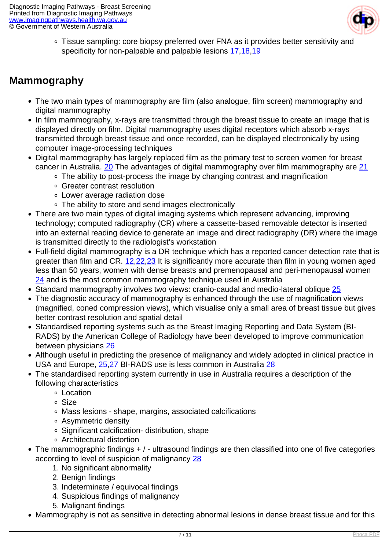![](_page_6_Picture_1.jpeg)

Tissue sampling: core biopsy preferred over FNA as it provides better sensitivity and specificity for non-palpable and palpable lesions [17,](index.php?option=com_content&view=article&id=177&tab=references#17)[18](index.php?option=com_content&view=article&id=177&tab=references#18),[19](index.php?option=com_content&view=article&id=177&tab=references#19)

## **Mammography**

- The two main types of mammography are film (also analogue, film screen) mammography and digital mammography
- In film mammography, x-rays are transmitted through the breast tissue to create an image that is displayed directly on film. Digital mammography uses digital receptors which absorb x-rays transmitted through breast tissue and once recorded, can be displayed electronically by using computer image-processing techniques
- Digital mammography has largely replaced film as the primary test to screen women for breast cancer in Australia. [20](index.php?option=com_content&view=article&id=177&tab=references#20) The advantages of digital mammography over film mammography are [21](index.php?option=com_content&view=article&id=177&tab=references#21)
	- The ability to post-process the image by changing contrast and magnification
	- Greater contrast resolution
	- Lower average radiation dose
	- The ability to store and send images electronically
- There are two main types of digital imaging systems which represent advancing, improving technology; computed radiography (CR) where a cassette-based removable detector is inserted into an external reading device to generate an image and direct radiography (DR) where the image is transmitted directly to the radiologist's workstation
- Full-field digital mammography is a DR technique which has a reported cancer detection rate that is greater than film and CR. [12](index.php?option=com_content&view=article&id=177&tab=references#12)[,22,](index.php?option=com_content&view=article&id=177&tab=references#22)[23](index.php?option=com_content&view=article&id=177&tab=references#23) It is significantly more accurate than film in young women aged less than 50 years, women with dense breasts and premenopausal and peri-menopausal women [24](index.php?option=com_content&view=article&id=177&tab=references#24) and is the most common mammography technique used in Australia
- Standard mammography involves two views: cranio-caudal and medio-lateral oblique [25](index.php?option=com_content&view=article&id=177&tab=references#25)
- The diagnostic accuracy of mammography is enhanced through the use of magnification views (magnified, coned compression views), which visualise only a small area of breast tissue but gives better contrast resolution and spatial detail
- Standardised reporting systems such as the Breast Imaging Reporting and Data System (BI-RADS) by the American College of Radiology have been developed to improve communication between physicians [26](index.php?option=com_content&view=article&id=177&tab=references#26)
- Although useful in predicting the presence of malignancy and widely adopted in clinical practice in USA and Europe, [25](index.php?option=com_content&view=article&id=177&tab=references#25),[27](index.php?option=com_content&view=article&id=177&tab=references#27) BI-RADS use is less common in Australia [28](index.php?option=com_content&view=article&id=177&tab=references#28)
- The standardised reporting system currently in use in Australia requires a description of the following characteristics
	- Location
	- Size
	- Mass lesions shape, margins, associated calcifications
	- Asymmetric density
	- Significant calcification- distribution, shape
	- Architectural distortion
- The mammographic findings + / ultrasound findings are then classified into one of five categories according to level of suspicion of malignancy [28](index.php?option=com_content&view=article&id=177&tab=references#28)
	- 1. No significant abnormality
	- 2. Benign findings
	- 3. Indeterminate / equivocal findings
	- 4. Suspicious findings of malignancy
	- 5. Malignant findings
- Mammography is not as sensitive in detecting abnormal lesions in dense breast tissue and for this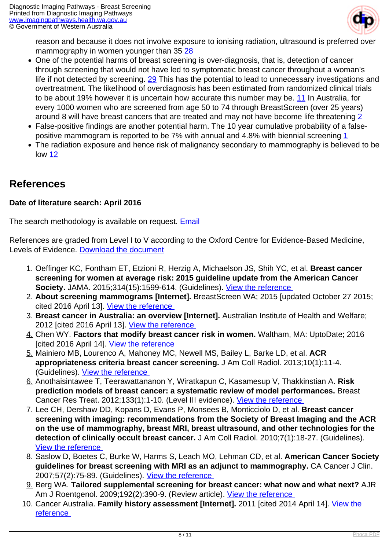![](_page_7_Picture_1.jpeg)

reason and because it does not involve exposure to ionising radiation, ultrasound is preferred over mammography in women younger than 35 [28](index.php?option=com_content&view=article&id=177&tab=references#28)

- One of the potential harms of breast screening is over-diagnosis, that is, detection of cancer through screening that would not have led to symptomatic breast cancer throughout a woman's life if not detected by screening. [29](index.php?option=com_content&view=article&id=177&tab=references#29) This has the potential to lead to unnecessary investigations and overtreatment. The likelihood of overdiagnosis has been estimated from randomized clinical trials to be about 19% however it is uncertain how accurate this number may be. [11](index.php?option=com_content&view=article&id=177&tab=references#11) In Australia, for every 1000 women who are screened from age 50 to 74 through BreastScreen (over 25 years) around 8 will have breast cancers that are treated and may not have become life threatening [2](index.php?option=com_content&view=article&id=177&tab=references#2)
- False-positive findings are another potential harm. The 10 year cumulative probability of a false-positive mammogram is reported to be 7% with annual and 4.8% with biennial screening [1](index.php?option=com_content&view=article&id=177&tab=references#1)
- The radiation exposure and hence risk of malignancy secondary to mammography is believed to be low [12](index.php?option=com_content&view=article&id=177&tab=references#12)

#### **References**

#### **Date of literature search: April 2016**

The search methodology is available on request. **[Email](index.php/contact-us)** 

References are graded from Level I to V according to the Oxford Centre for Evidence-Based Medicine, Levels of Evidence. [Download the document](http://www.cebm.net/wp-content/uploads/2014/06/CEBM-Levels-of-Evidence-2.1.pdf)

- 1. Oeffinger KC, Fontham ET, Etzioni R, Herzig A, Michaelson JS, Shih YC, et al. **Breast cancer screening for women at average risk: 2015 guideline update from the American Cancer Society.** JAMA. 2015;314(15):1599-614. (Guidelines). [View the reference](http://www.ncbi.nlm.nih.gov/pubmed/26501536)
- 2. **About screening mammograms [Internet].** BreastScreen WA; 2015 [updated October 27 2015; cited 2016 April 13]. [View the reference](http://www.breastscreen.health.wa.gov.au/Breast-screening/About-screening-mammograms)
- 3. **Breast cancer in Australia: an overview [Internet].** Australian Institute of Health and Welfare; 2012 [cited 2016 April 13]. [View the reference](http://www.aihw.gov.au/WorkArea/DownloadAsset.aspx?id=10737423006)
- 4. Chen WY. **Factors that modify breast cancer risk in women.** Waltham, MA: UptoDate; 2016 [cited 2016 April 14]. View the reference
- 5. Mainiero MB, Lourenco A, Mahoney MC, Newell MS, Bailey L, Barke LD, et al. **ACR appropriateness criteria breast cancer screening.** J Am Coll Radiol. 2013;10(1):11-4. (Guidelines). [View the reference](http://www.ncbi.nlm.nih.gov/pubmed/23290667)
- 6. Anothaisintawee T, Teerawattananon Y, Wiratkapun C, Kasamesup V, Thakkinstian A. **Risk prediction models of breast cancer: a systematic review of model performances.** Breast Cancer Res Treat. 2012;133(1):1-10. (Level III evidence). [View the reference](http://www.ncbi.nlm.nih.gov/pubmed/22076477)
- 7. Lee CH, Dershaw DD, Kopans D, Evans P, Monsees B, Monticciolo D, et al. **Breast cancer screening with imaging: recommendations from the Society of Breast Imaging and the ACR on the use of mammography, breast MRI, breast ultrasound, and other technologies for the detection of clinically occult breast cancer.** J Am Coll Radiol. 2010;7(1):18-27. (Guidelines). [View the reference](http://www.ncbi.nlm.nih.gov/pubmed/20129267)
- 8. Saslow D, Boetes C, Burke W, Harms S, Leach MO, Lehman CD, et al. **American Cancer Society guidelines for breast screening with MRI as an adjunct to mammography.** CA Cancer J Clin. 2007;57(2):75-89. (Guidelines). [View the reference](http://www.ncbi.nlm.nih.gov/pubmed/17392385)
- 9. Berg WA. **Tailored supplemental screening for breast cancer: what now and what next?** AJR Am J Roentgenol. 2009;192(2):390-9. (Review article). [View the reference](http://www.ncbi.nlm.nih.gov/pubmed/19155400)
- 10. Cancer Australia. **Family history assessment [Internet].** 2011 [cited 2014 April 14]. [View the](http://canceraustralia.gov.au/clinical-best-practice/gynaecological-cancers/fra-boc/evaluate) [reference](http://canceraustralia.gov.au/clinical-best-practice/gynaecological-cancers/fra-boc/evaluate)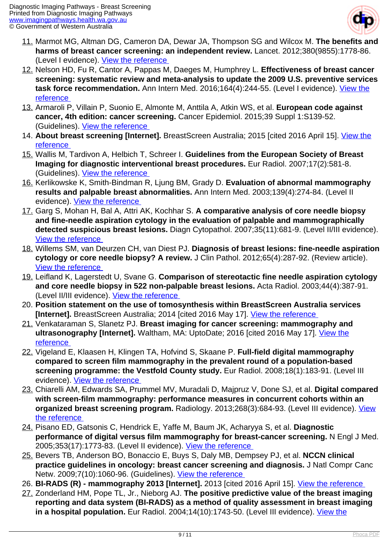![](_page_8_Picture_1.jpeg)

- 11. Marmot MG, Altman DG, Cameron DA, Dewar JA, Thompson SG and Wilcox M. **The benefits and harms of breast cancer screening: an independent review.** Lancet. 2012;380(9855):1778-86. (Level I evidence). [View the reference](http://www.ncbi.nlm.nih.gov/pubmed/23117178)
- 12. Nelson HD, Fu R, Cantor A, Pappas M, Daeges M, Humphrey L. **Effectiveness of breast cancer screening: systematic review and meta-analysis to update the 2009 U.S. preventive services task force recommendation.** Ann Intern Med. 2016;164(4):244-55. (Level I evidence). [View the](http://www.ncbi.nlm.nih.gov/pubmed/26756588) [reference](http://www.ncbi.nlm.nih.gov/pubmed/26756588)
- 13. Armaroli P, Villain P, Suonio E, Almonte M, Anttila A, Atkin WS, et al. **European code against cancer, 4th edition: cancer screening.** Cancer Epidemiol. 2015;39 Suppl 1:S139-52. (Guidelines). [View the reference](http://www.ncbi.nlm.nih.gov/pubmed/26596722)
- 14. **About breast screening [Internet].** BreastScreen Australia; 2015 [cited 2016 April 15]. [View the](http://www.cancerscreening.gov.au/internet/screening/publishing.nsf/Content/about-breast-screening) [reference](http://www.cancerscreening.gov.au/internet/screening/publishing.nsf/Content/about-breast-screening)
- 15. Wallis M, Tardivon A, Helbich T, Schreer I. **Guidelines from the European Society of Breast Imaging for diagnostic interventional breast procedures.** Eur Radiol. 2007;17(2):581-8. (Guidelines). [View the reference](http://www.ncbi.nlm.nih.gov/pubmed/17013595)
- 16. Kerlikowske K, Smith-Bindman R, Ljung BM, Grady D. **Evaluation of abnormal mammography results and palpable breast abnormalities.** Ann Intern Med. 2003;139(4):274-84. (Level II evidence). [View the reference](http://www.ncbi.nlm.nih.gov/pubmed/12965983)
- 17. Garg S, Mohan H, Bal A, Attri AK, Kochhar S. **A comparative analysis of core needle biopsy and fine-needle aspiration cytology in the evaluation of palpable and mammographically detected suspicious breast lesions.** Diagn Cytopathol. 2007;35(11):681-9. (Level II/III evidence). [View the reference](http://www.ncbi.nlm.nih.gov/pubmed/17924407)
- 18. Willems SM, van Deurzen CH, van Diest PJ. **Diagnosis of breast lesions: fine-needle aspiration cytology or core needle biopsy? A review.** J Clin Pathol. 2012;65(4):287-92. (Review article). [View the reference](http://www.ncbi.nlm.nih.gov/pubmed/22039282)
- 19. Leifland K, Lagerstedt U, Svane G. **Comparison of stereotactic fine needle aspiration cytology and core needle biopsy in 522 non-palpable breast lesions.** Acta Radiol. 2003;44(4):387-91. (Level II/III evidence). [View the reference](http://www.ncbi.nlm.nih.gov/pubmed/12846688)
- 20. **Position statement on the use of tomosynthesis within BreastScreen Australia services [Internet].** BreastScreen Australia; 2014 [cited 2016 May 17]. View the reference
- 21. Venkataraman S, Slanetz PJ. **Breast imaging for cancer screening: mammography and ultrasonography [Internet].** Waltham, MA: UptoDate; 2016 [cited 2016 May 17]. [View the](http://www.uptodate.com/contents/breast-imaging-for-cancer-screening-mammography-and-ultrasonography) [reference](http://www.uptodate.com/contents/breast-imaging-for-cancer-screening-mammography-and-ultrasonography)
- 22. Vigeland E, Klaasen H, Klingen TA, Hofvind S, Skaane P. **Full-field digital mammography compared to screen film mammography in the prevalent round of a population-based screening programme: the Vestfold County study.** Eur Radiol. 2008;18(1):183-91. (Level III evidence). [View the reference](http://www.ncbi.nlm.nih.gov/pubmed/17680246)
- 23. Chiarelli AM, Edwards SA, Prummel MV, Muradali D, Majpruz V, Done SJ, et al. **Digital compared with screen-film mammography: performance measures in concurrent cohorts within an organized breast screening program.** Radiology. 2013;268(3):684-93. (Level III evidence). [View](http://www.ncbi.nlm.nih.gov/pubmed/23674784) [the reference](http://www.ncbi.nlm.nih.gov/pubmed/23674784)
- 24. Pisano ED, Gatsonis C, Hendrick E, Yaffe M, Baum JK, Acharyya S, et al. **Diagnostic performance of digital versus film mammography for breast-cancer screening.** N Engl J Med. 2005;353(17):1773-83. (Level II evidence). [View the reference](http://www.ncbi.nlm.nih.gov/pubmed/16169887)
- 25. Bevers TB, Anderson BO, Bonaccio E, Buys S, Daly MB, Dempsey PJ, et al. **NCCN clinical practice guidelines in oncology: breast cancer screening and diagnosis.** J Natl Compr Canc Netw. 2009;7(10):1060-96. (Guidelines). View the reference
- 26. **BI-RADS (R) mammography 2013 [Internet].** 2013 [cited 2016 April 15]. [View the reference](http://www.acr.org/Quality-Safety/Resources/BIRADS)
- 27. Zonderland HM, Pope TL, Jr., Nieborg AJ. **The positive predictive value of the breast imaging reporting and data system (BI-RADS) as a method of quality assessment in breast imaging** in a hospital population. Eur Radiol. 2004;14(10):1743-50. (Level III evidence). [View the](http://www.ncbi.nlm.nih.gov/pubmed/15243715)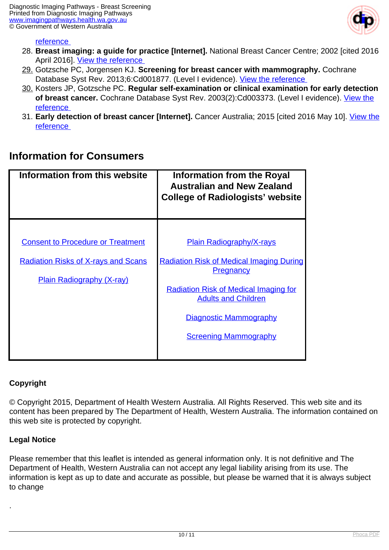![](_page_9_Picture_1.jpeg)

#### reference

- 28. **Breast imaging: a guide for practice [Internet].** National Breast Cancer Centre; 2002 [cited 2016 April 2016]. View the reference
- 29. Gotzsche PC, Jorgensen KJ. **Screening for breast cancer with mammography.** Cochrane Database Syst Rev. 2013;6:Cd001877. (Level I evidence). View the reference
- 30. Kosters JP, Gotzsche PC. **Regular self-examination or clinical examination for early detection of breast cancer.** Cochrane Database Syst Rev. 2003(2):Cd003373. (Level I evidence). [View the](http://www.ncbi.nlm.nih.gov/pubmed/12804462) [reference](http://www.ncbi.nlm.nih.gov/pubmed/12804462)
- 31. **Early detection of breast cancer [Internet].** Cancer Australia; 2015 [cited 2016 May 10]. [View the](https://canceraustralia.gov.au/publications-and-resources/position-statements/early-detection-breast-cancer#_ENREF_7) [reference](https://canceraustralia.gov.au/publications-and-resources/position-statements/early-detection-breast-cancer#_ENREF_7)

#### **Information for Consumers**

| Information from this website                                                                                              | <b>Information from the Royal</b><br><b>Australian and New Zealand</b><br><b>College of Radiologists' website</b>                                                                                                                                     |
|----------------------------------------------------------------------------------------------------------------------------|-------------------------------------------------------------------------------------------------------------------------------------------------------------------------------------------------------------------------------------------------------|
| <b>Consent to Procedure or Treatment</b><br><b>Radiation Risks of X-rays and Scans</b><br><b>Plain Radiography (X-ray)</b> | <b>Plain Radiography/X-rays</b><br><b>Radiation Risk of Medical Imaging During</b><br><b>Pregnancy</b><br><b>Radiation Risk of Medical Imaging for</b><br><b>Adults and Children</b><br><b>Diagnostic Mammography</b><br><b>Screening Mammography</b> |

#### **Copyright**

© Copyright 2015, Department of Health Western Australia. All Rights Reserved. This web site and its content has been prepared by The Department of Health, Western Australia. The information contained on this web site is protected by copyright.

#### **Legal Notice**

.

Please remember that this leaflet is intended as general information only. It is not definitive and The Department of Health, Western Australia can not accept any legal liability arising from its use. The information is kept as up to date and accurate as possible, but please be warned that it is always subject to change